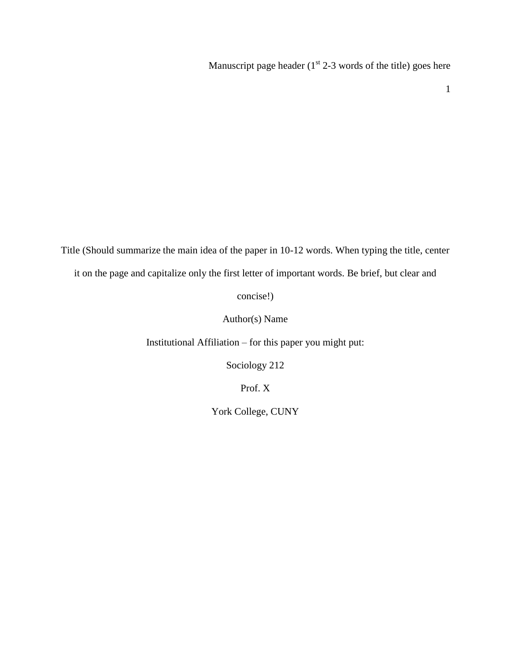Manuscript page header  $(1<sup>st</sup> 2-3$  words of the title) goes here

1

Title (Should summarize the main idea of the paper in 10-12 words. When typing the title, center it on the page and capitalize only the first letter of important words. Be brief, but clear and

concise!)

Author(s) Name

Institutional Affiliation – for this paper you might put:

Sociology 212

Prof. X

York College, CUNY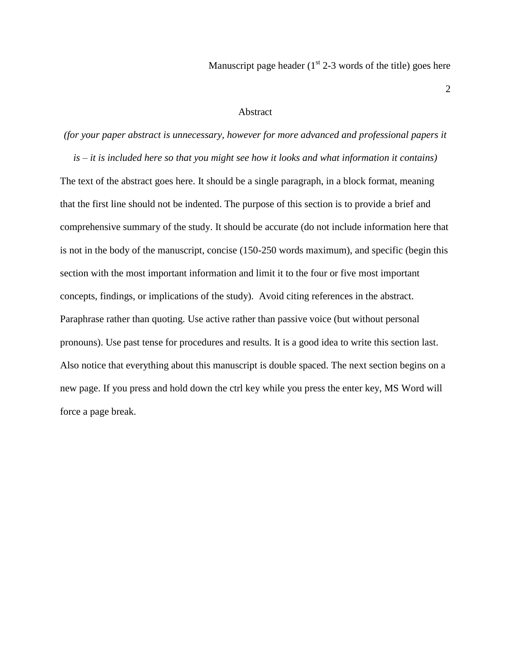Manuscript page header  $(1<sup>st</sup> 2-3$  words of the title) goes here

### Abstract

*(for your paper abstract is unnecessary, however for more advanced and professional papers it is – it is included here so that you might see how it looks and what information it contains)* The text of the abstract goes here. It should be a single paragraph, in a block format, meaning that the first line should not be indented. The purpose of this section is to provide a brief and comprehensive summary of the study. It should be accurate (do not include information here that is not in the body of the manuscript, concise (150-250 words maximum), and specific (begin this section with the most important information and limit it to the four or five most important concepts, findings, or implications of the study). Avoid citing references in the abstract. Paraphrase rather than quoting. Use active rather than passive voice (but without personal pronouns). Use past tense for procedures and results. It is a good idea to write this section last. Also notice that everything about this manuscript is double spaced. The next section begins on a new page. If you press and hold down the ctrl key while you press the enter key, MS Word will force a page break.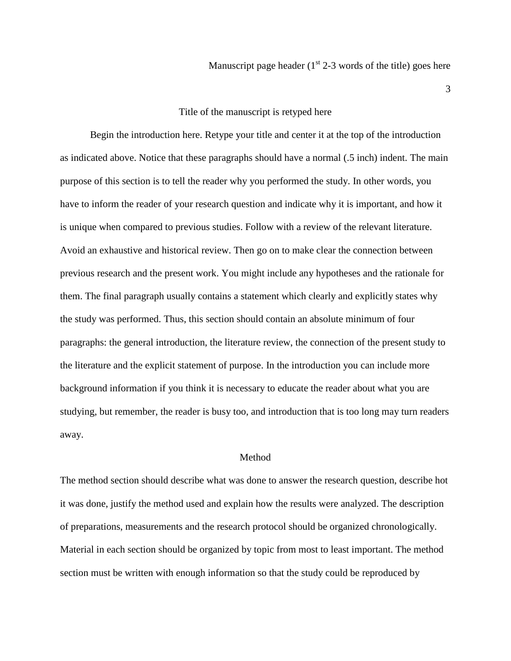### Title of the manuscript is retyped here

Begin the introduction here. Retype your title and center it at the top of the introduction as indicated above. Notice that these paragraphs should have a normal (.5 inch) indent. The main purpose of this section is to tell the reader why you performed the study. In other words, you have to inform the reader of your research question and indicate why it is important, and how it is unique when compared to previous studies. Follow with a review of the relevant literature. Avoid an exhaustive and historical review. Then go on to make clear the connection between previous research and the present work. You might include any hypotheses and the rationale for them. The final paragraph usually contains a statement which clearly and explicitly states why the study was performed. Thus, this section should contain an absolute minimum of four paragraphs: the general introduction, the literature review, the connection of the present study to the literature and the explicit statement of purpose. In the introduction you can include more background information if you think it is necessary to educate the reader about what you are studying, but remember, the reader is busy too, and introduction that is too long may turn readers away.

## Method

The method section should describe what was done to answer the research question, describe hot it was done, justify the method used and explain how the results were analyzed. The description of preparations, measurements and the research protocol should be organized chronologically. Material in each section should be organized by topic from most to least important. The method section must be written with enough information so that the study could be reproduced by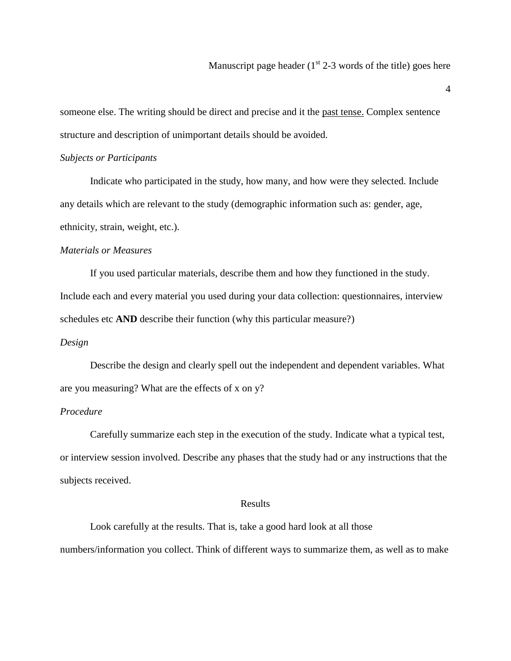someone else. The writing should be direct and precise and it the past tense. Complex sentence structure and description of unimportant details should be avoided.

### *Subjects or Participants*

Indicate who participated in the study, how many, and how were they selected. Include any details which are relevant to the study (demographic information such as: gender, age, ethnicity, strain, weight, etc.).

# *Materials or Measures*

If you used particular materials, describe them and how they functioned in the study. Include each and every material you used during your data collection: questionnaires, interview schedules etc **AND** describe their function (why this particular measure?)

### *Design*

Describe the design and clearly spell out the independent and dependent variables. What are you measuring? What are the effects of x on y?

# *Procedure*

Carefully summarize each step in the execution of the study. Indicate what a typical test, or interview session involved. Describe any phases that the study had or any instructions that the subjects received.

#### Results

Look carefully at the results. That is, take a good hard look at all those numbers/information you collect. Think of different ways to summarize them, as well as to make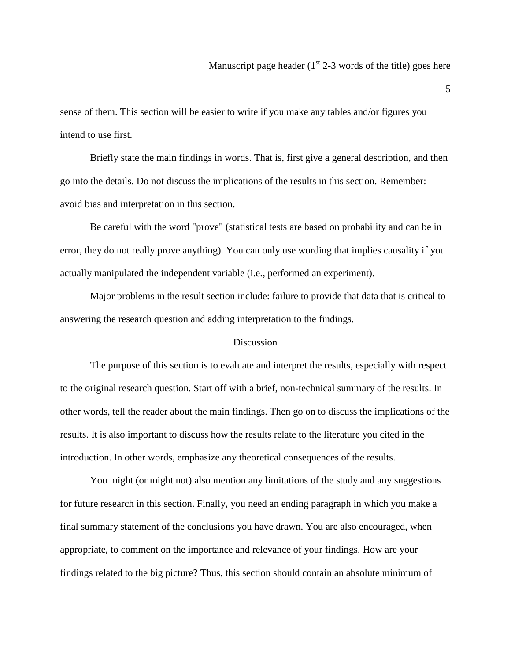sense of them. This section will be easier to write if you make any tables and/or figures you intend to use first.

Briefly state the main findings in words. That is, first give a general description, and then go into the details. Do not discuss the implications of the results in this section. Remember: avoid bias and interpretation in this section.

Be careful with the word "prove" (statistical tests are based on probability and can be in error, they do not really prove anything). You can only use wording that implies causality if you actually manipulated the independent variable (i.e., performed an experiment).

Major problems in the result section include: failure to provide that data that is critical to answering the research question and adding interpretation to the findings.

### **Discussion**

The purpose of this section is to evaluate and interpret the results, especially with respect to the original research question. Start off with a brief, non-technical summary of the results. In other words, tell the reader about the main findings. Then go on to discuss the implications of the results. It is also important to discuss how the results relate to the literature you cited in the introduction. In other words, emphasize any theoretical consequences of the results.

You might (or might not) also mention any limitations of the study and any suggestions for future research in this section. Finally, you need an ending paragraph in which you make a final summary statement of the conclusions you have drawn. You are also encouraged, when appropriate, to comment on the importance and relevance of your findings. How are your findings related to the big picture? Thus, this section should contain an absolute minimum of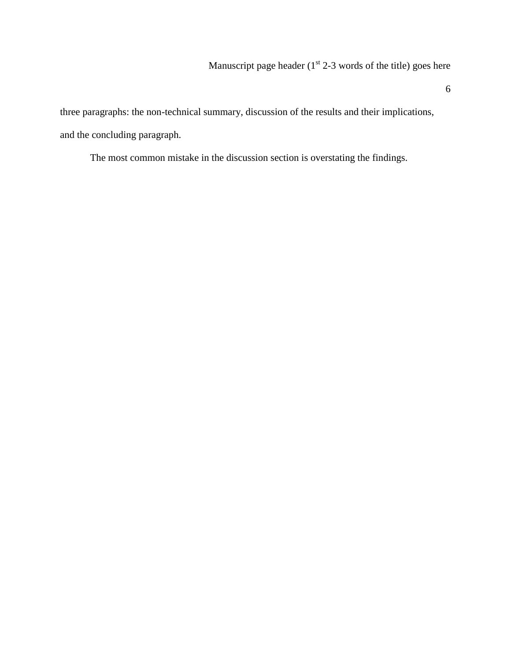three paragraphs: the non-technical summary, discussion of the results and their implications, and the concluding paragraph.

The most common mistake in the discussion section is overstating the findings.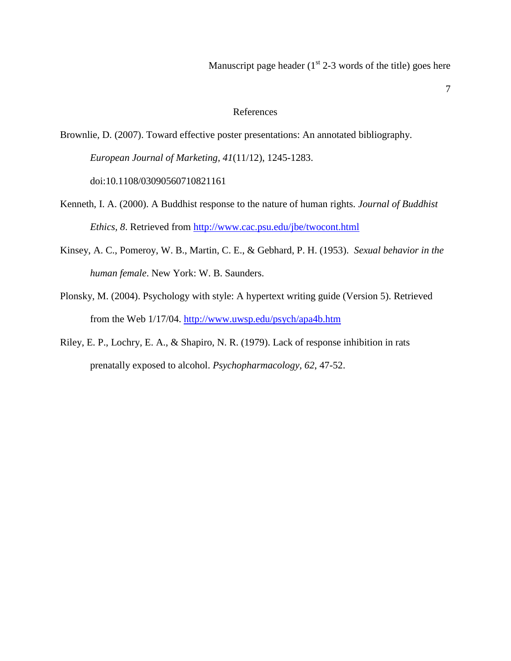### References

Brownlie, D. (2007). Toward effective poster presentations: An annotated bibliography. *European Journal of Marketing, 41*(11/12), 1245-1283. doi:10.1108/03090560710821161

- Kenneth, I. A. (2000). A Buddhist response to the nature of human rights. *Journal of Buddhist Ethics, 8*. Retrieved from<http://www.cac.psu.edu/jbe/twocont.html>
- Kinsey, A. C., Pomeroy, W. B., Martin, C. E., & Gebhard, P. H. (1953). *Sexual behavior in the human female*. New York: W. B. Saunders.
- Plonsky, M. (2004). Psychology with style: A hypertext writing guide (Version 5). Retrieved from the Web 1/17/04.<http://www.uwsp.edu/psych/apa4b.htm>
- Riley, E. P., Lochry, E. A., & Shapiro, N. R. (1979). Lack of response inhibition in rats prenatally exposed to alcohol. *Psychopharmacology, 62*, 47-52.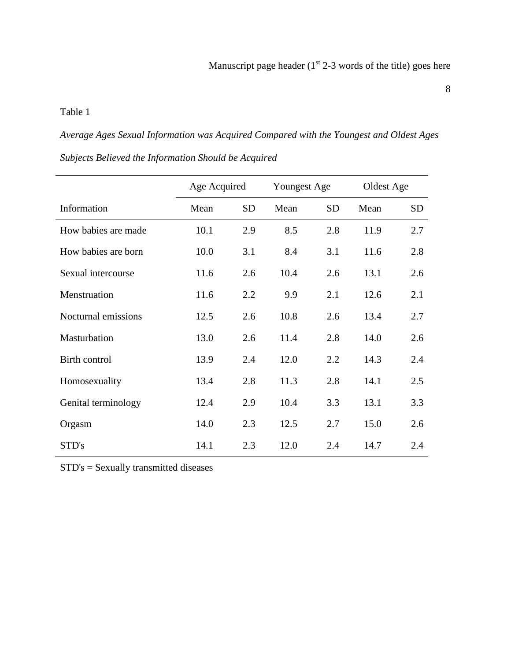# Table 1

*Average Ages Sexual Information was Acquired Compared with the Youngest and Oldest Ages Subjects Believed the Information Should be Acquired*

|                     | Age Acquired |           | Youngest Age |           | Oldest Age |           |
|---------------------|--------------|-----------|--------------|-----------|------------|-----------|
| Information         | Mean         | <b>SD</b> | Mean         | <b>SD</b> | Mean       | <b>SD</b> |
| How babies are made | 10.1         | 2.9       | 8.5          | 2.8       | 11.9       | 2.7       |
| How babies are born | 10.0         | 3.1       | 8.4          | 3.1       | 11.6       | 2.8       |
| Sexual intercourse  | 11.6         | 2.6       | 10.4         | 2.6       | 13.1       | 2.6       |
| Menstruation        | 11.6         | 2.2       | 9.9          | 2.1       | 12.6       | 2.1       |
| Nocturnal emissions | 12.5         | 2.6       | 10.8         | 2.6       | 13.4       | 2.7       |
| Masturbation        | 13.0         | 2.6       | 11.4         | 2.8       | 14.0       | 2.6       |
| Birth control       | 13.9         | 2.4       | 12.0         | 2.2       | 14.3       | 2.4       |
| Homosexuality       | 13.4         | 2.8       | 11.3         | 2.8       | 14.1       | 2.5       |
| Genital terminology | 12.4         | 2.9       | 10.4         | 3.3       | 13.1       | 3.3       |
| Orgasm              | 14.0         | 2.3       | 12.5         | 2.7       | 15.0       | 2.6       |
| STD's               | 14.1         | 2.3       | 12.0         | 2.4       | 14.7       | 2.4       |

STD's = Sexually transmitted diseases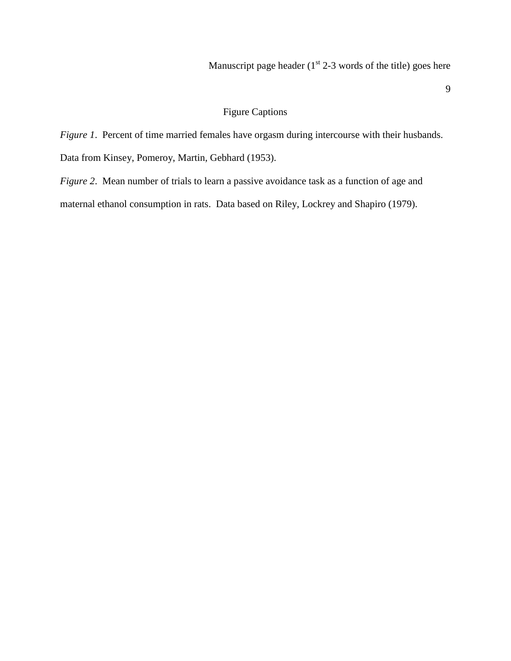# Figure Captions

*Figure 1*. Percent of time married females have orgasm during intercourse with their husbands.

Data from Kinsey, Pomeroy, Martin, Gebhard (1953).

*Figure 2.* Mean number of trials to learn a passive avoidance task as a function of age and maternal ethanol consumption in rats. Data based on Riley, Lockrey and Shapiro (1979).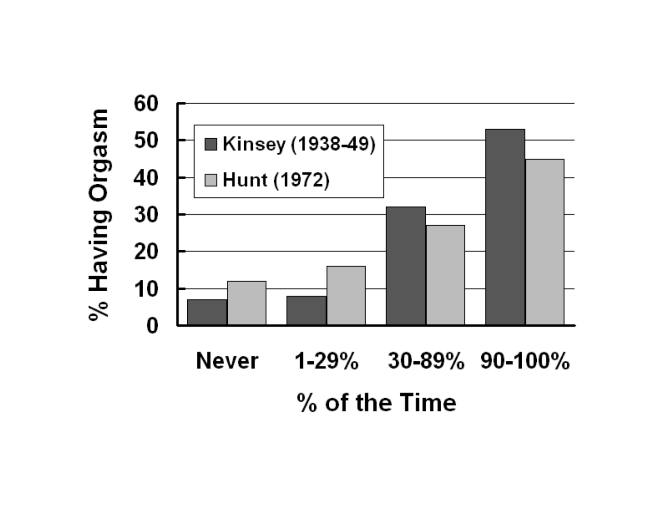